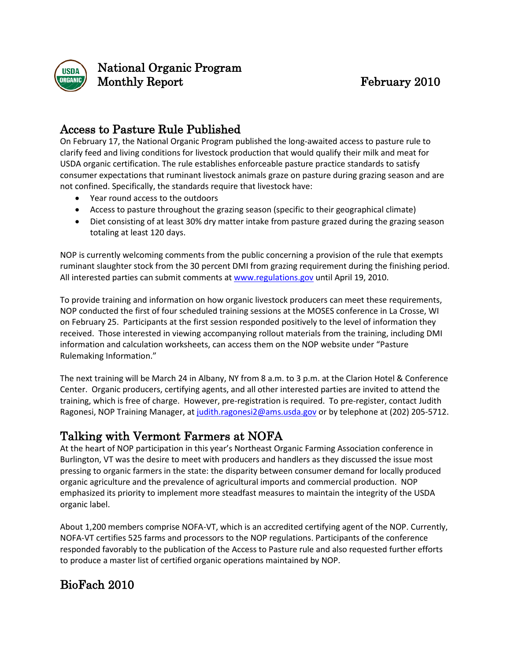

National Organic Program Monthly Report February 2010

### Access to Pasture Rule Published

On February 17, the National Organic Program published the long-awaited access to pasture rule to clarify feed and living conditions for livestock production that would qualify their milk and meat for USDA organic certification. The rule establishes enforceable pasture practice standards to satisfy consumer expectations that ruminant livestock animals graze on pasture during grazing season and are not confined. Specifically, the standards require that livestock have:

- Year round access to the outdoors
- Access to pasture throughout the grazing season (specific to their geographical climate)
- Diet consisting of at least 30% dry matter intake from pasture grazed during the grazing season totaling at least 120 days.

NOP is currently welcoming comments from the public concerning a provision of the rule that exempts ruminant slaughter stock from the 30 percent DMI from grazing requirement during the finishing period. All interested parties can submit comments at [www.regulations.gov](http://www.regulations.gov/) until April 19, 2010.

To provide training and information on how organic livestock producers can meet these requirements, NOP conducted the first of four scheduled training sessions at the MOSES conference in La Crosse, WI on February 25. Participants at the first session responded positively to the level of information they received. Those interested in viewing accompanying rollout materials from the training, including DMI information and calculation worksheets, can access them on the NOP website under "Pasture Rulemaking Information."

The next training will be March 24 in Albany, NY from 8 a.m. to 3 p.m. at the Clarion Hotel & Conference Center. Organic producers, certifying agents, and all other interested parties are invited to attend the training, which is free of charge. However, pre-registration is required. To pre-register, contact Judith Ragonesi, NOP Training Manager, a[t judith.ragonesi2@ams.usda.gov](mailto:judith.ragonesi2@ams.usda.gov) or by telephone at (202) 205-5712.

# Talking with Vermont Farmers at NOFA

At the heart of NOP participation in this year's Northeast Organic Farming Association conference in Burlington, VT was the desire to meet with producers and handlers as they discussed the issue most pressing to organic farmers in the state: the disparity between consumer demand for locally produced organic agriculture and the prevalence of agricultural imports and commercial production. NOP emphasized its priority to implement more steadfast measures to maintain the integrity of the USDA organic label.

About 1,200 members comprise NOFA-VT, which is an accredited certifying agent of the NOP. Currently, NOFA-VT certifies 525 farms and processors to the NOP regulations. Participants of the conference responded favorably to the publication of the Access to Pasture rule and also requested further efforts to produce a master list of certified organic operations maintained by NOP.

# BioFach 2010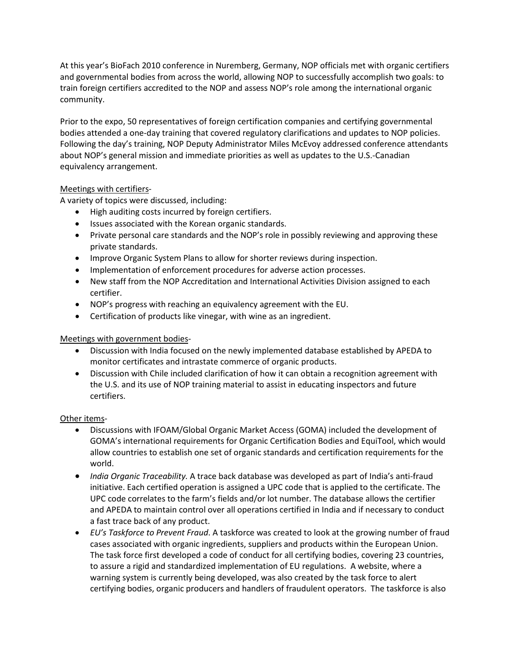At this year's BioFach 2010 conference in Nuremberg, Germany, NOP officials met with organic certifiers and governmental bodies from across the world, allowing NOP to successfully accomplish two goals: to train foreign certifiers accredited to the NOP and assess NOP's role among the international organic community.

Prior to the expo, 50 representatives of foreign certification companies and certifying governmental bodies attended a one-day training that covered regulatory clarifications and updates to NOP policies. Following the day's training, NOP Deputy Administrator Miles McEvoy addressed conference attendants about NOP's general mission and immediate priorities as well as updates to the U.S.-Canadian equivalency arrangement.

#### Meetings with certifiers -

A variety of topics were discussed, including:

- High auditing costs incurred by foreign certifiers.
- Issues associated with the Korean organic standards.
- Private personal care standards and the NOP's role in possibly reviewing and approving these private standards.
- Improve Organic System Plans to allow for shorter reviews during inspection.
- Implementation of enforcement procedures for adverse action processes.
- New staff from the NOP Accreditation and International Activities Division assigned to each certifier.
- NOP's progress with reaching an equivalency agreement with the EU.
- Certification of products like vinegar, with wine as an ingredient.

#### Meetings with government bodies -

- Discussion with India focused on the newly implemented database established by APEDA to monitor certificates and intrastate commerce of organic products.
- Discussion with Chile included clarification of how it can obtain a recognition agreement with the U.S. and its use of NOP training material to assist in educating inspectors and future certifiers.

#### Other items-

- Discussions with IFOAM/Global Organic Market Access (GOMA) included the development of GOMA's international requirements for Organic Certification Bodies and EquiTool, which would allow countries to establish one set of organic standards and certification requirements for the world.
- *India Organic Traceability.* A trace back database was developed as part of India's anti-fraud initiative. Each certified operation is assigned a UPC code that is applied to the certificate. The UPC code correlates to the farm's fields and/or lot number. The database allows the certifier and APEDA to maintain control over all operations certified in India and if necessary to conduct a fast trace back of any product.
- *EU's Taskforce to Prevent Fraud*. A taskforce was created to look at the growing number of fraud cases associated with organic ingredients, suppliers and products within the European Union. The task force first developed a code of conduct for all certifying bodies, covering 23 countries, to assure a rigid and standardized implementation of EU regulations. A website, where a warning system is currently being developed, was also created by the task force to alert certifying bodies, organic producers and handlers of fraudulent operators. The taskforce is also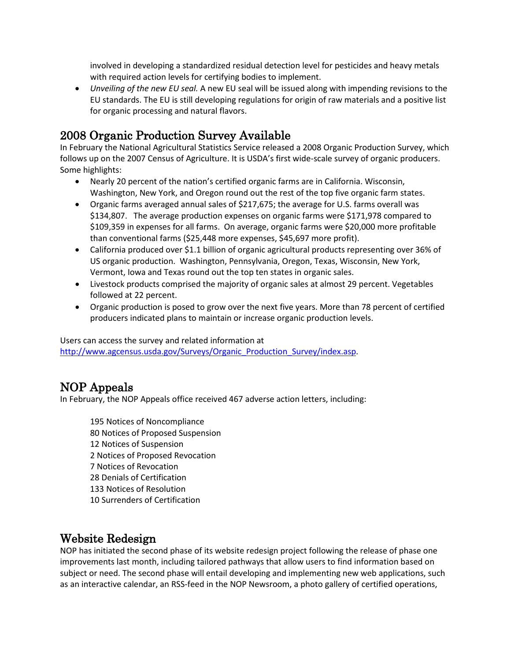involved in developing a standardized residual detection level for pesticides and heavy metals with required action levels for certifying bodies to implement.

• *Unveiling of the new EU seal.* A new EU seal will be issued along with impending revisions to the EU standards. The EU is still developing regulations for origin of raw materials and a positive list for organic processing and natural flavors.

### 2008 Organic Production Survey Available

In February the National Agricultural Statistics Service released a 2008 Organic Production Survey, which follows up on the 2007 Census of Agriculture. It is USDA's first wide-scale survey of organic producers. Some highlights:

- Nearly 20 percent of the nation's certified organic farms are in California. Wisconsin, Washington, New York, and Oregon round out the rest of the top five organic farm states.
- Organic farms averaged annual sales of \$217,675; the average for U.S. farms overall was \$134,807. The average production expenses on organic farms were \$171,978 compared to \$109,359 in expenses for all farms. On average, organic farms were \$20,000 more profitable than conventional farms (\$25,448 more expenses, \$45,697 more profit).
- California produced over \$1.1 billion of organic agricultural products representing over 36% of US organic production. Washington, Pennsylvania, Oregon, Texas, Wisconsin, New York, Vermont, Iowa and Texas round out the top ten states in organic sales.
- Livestock products comprised the majority of organic sales at almost 29 percent. Vegetables followed at 22 percent.
- Organic production is posed to grow over the next five years. More than 78 percent of certified producers indicated plans to maintain or increase organic production levels.

Users can access the survey and related information at [http://www.agcensus.usda.gov/Surveys/Organic\\_Production\\_Survey/index.asp.](http://www.agcensus.usda.gov/Surveys/Organic_Production_Survey/index.asp)

### NOP Appeals

In February, the NOP Appeals office received 467 adverse action letters, including:

 Notices of Noncompliance Notices of Proposed Suspension Notices of Suspension Notices of Proposed Revocation Notices of Revocation Denials of Certification Notices of Resolution Surrenders of Certification

#### Website Redesign

NOP has initiated the second phase of its website redesign project following the release of phase one improvements last month, including tailored pathways that allow users to find information based on subject or need. The second phase will entail developing and implementing new web applications, such as an interactive calendar, an RSS-feed in the NOP Newsroom, a photo gallery of certified operations,